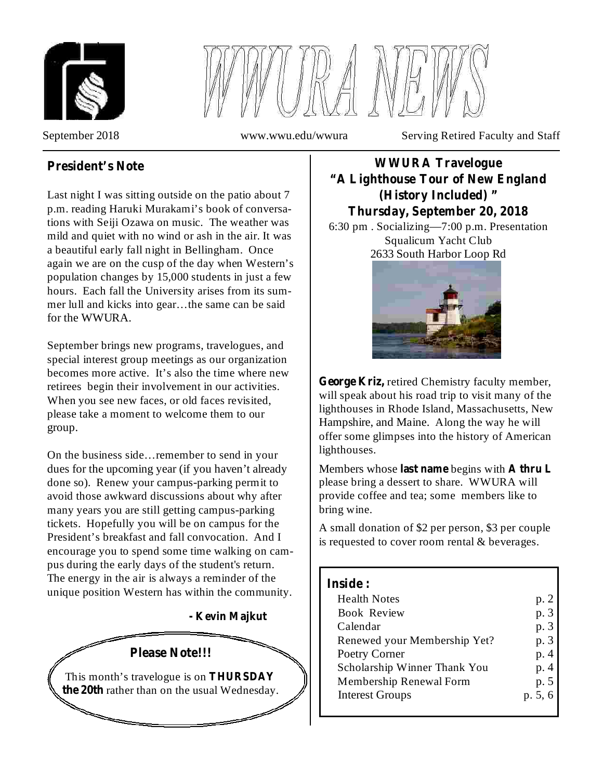



September 2018 www.wwu.edu/wwura Serving Retired Faculty and Staff

## **President's Note**

Last night I was sitting outside on the patio about 7 p.m. reading Haruki Murakami's book of conversations with Seiji Ozawa on music. The weather was mild and quiet with no wind or ash in the air. It was a beautiful early fall night in Bellingham. Once again we are on the cusp of the day when Western's population changes by 15,000 students in just a few hours. Each fall the University arises from its summer lull and kicks into gear…the same can be said for the WWURA.

September brings new programs, travelogues, and special interest group meetings as our organization becomes more active. It's also the time where new retirees begin their involvement in our activities. When you see new faces, or old faces revisited, please take a moment to welcome them to our group.

On the business side…remember to send in your dues for the upcoming year (if you haven't already done so). Renew your campus-parking permit to avoid those awkward discussions about why after many years you are still getting campus-parking tickets. Hopefully you will be on campus for the President's breakfast and fall convocation. And I encourage you to spend some time walking on campus during the early days of the student's return. The energy in the air is always a reminder of the unique position Western has within the community.

**- Kevin Majkut**



## **WWURA Travelogue "A Lighthouse Tour of New England (History Included) " Thursday, September 20, 2018**

6:30 pm . Socializing—7:00 p.m. Presentation Squalicum Yacht Club 2633 South Harbor Loop Rd



George Kriz, retired Chemistry faculty member, will speak about his road trip to visit many of the lighthouses in Rhode Island, Massachusetts, New Hampshire, and Maine. Along the way he will offer some glimpses into the history of American lighthouses.

Members whose last name begins with A thru L please bring a dessert to share. WWURA will provide coffee and tea; some members like to bring wine.

A small donation of \$2 per person, \$3 per couple is requested to cover room rental & beverages.

### **Inside :**

| <b>Health Notes</b>          | p. 2    |
|------------------------------|---------|
| <b>Book Review</b>           | p. 3    |
| Calendar                     | p. 3    |
| Renewed your Membership Yet? | p. 3    |
| Poetry Corner                | p. 4    |
| Scholarship Winner Thank You | p. 4    |
| Membership Renewal Form      | p. 5    |
| <b>Interest Groups</b>       | p. 5, 6 |
|                              |         |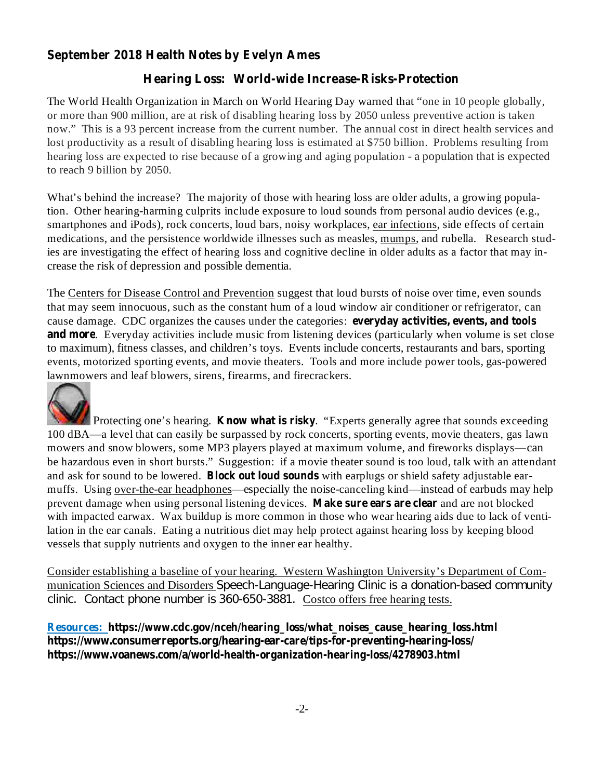## **September 2018 Health Notes by Evelyn Ames**

### **Hearing Loss: World-wide Increase-Risks-Protection**

The World Health Organization in March on World Hearing Day warned that "one in 10 people globally, or more than 900 million, are at risk of disabling hearing loss by 2050 unless preventive action is taken now." This is a 93 percent increase from the current number. The annual cost in direct health services and lost productivity as a result of disabling hearing loss is estimated at \$750 billion. Problems resulting from hearing loss are expected to rise because of a growing and aging population - a population that is expected to reach 9 billion by 2050.

What's behind the increase? The majority of those with hearing loss are older adults, a growing population. Other hearing-harming culprits include exposure to loud sounds from personal audio devices (e.g., smartphones and iPods), rock concerts, loud bars, noisy workplaces, ear infections, side effects of certain medications, and the persistence worldwide illnesses such as measles, mumps, and rubella. Research studies are investigating the effect of hearing loss and cognitive decline in older adults as a factor that may increase the risk of depression and possible dementia.

**everyday activities, events, and tools** cause damage. CDC organizes the causes under the categories: **and more** . Everyday activities include music from listening devices (particularly when volume is set close The Centers for Disease Control and Prevention suggest that loud bursts of noise over time, even sounds that may seem innocuous, such as the constant hum of a loud window air conditioner or refrigerator, can to maximum), fitness classes, and children's toys. Events include concerts, restaurants and bars, sporting events, motorized sporting events, and movie theaters. Tools and more include power tools, gas-powered lawnmowers and leaf blowers, sirens, firearms, and firecrackers.



Protecting one's hearing. **Know what is risky**. "Experts generally agree that sounds exceeding and ask for sound to be lowered. **Block out loud sounds** with earplugs or shield safety adjustable earprevent damage when using personal listening devices. Make sure ears are clear and are not blocked 100 dBA—a level that can easily be surpassed by rock concerts, sporting events, movie theaters, gas lawn mowers and snow blowers, some MP3 players played at maximum volume, and fireworks displays—can be hazardous even in short bursts." Suggestion: if a movie theater sound is too loud, talk with an attendant muffs. Using over-the-ear headphones—especially the noise-canceling kind—instead of earbuds may help with impacted earwax. Wax buildup is more common in those who wear hearing aids due to lack of ventilation in the ear canals. Eating a nutritious diet may help protect against hearing loss by keeping blood vessels that supply nutrients and oxygen to the inner ear healthy.

Consider establishing a baseline of your hearing. Western Washington University's Department of Communication Sciences and Disorders Speech-Language-Hearing Clinic is a donation-based community clinic. Contact phone number is 360-650-3881. Costco offers free hearing tests.

**Resources: https://www.cdc.gov/nceh/hearing\_loss/what\_noises\_cause\_hearing\_loss.html https://www.consumerreports.org/hearing-ear-care/tips-for-preventing-hearing-loss/ https://www.voanews.com/a/world-health-organization-hearing-loss/4278903.html**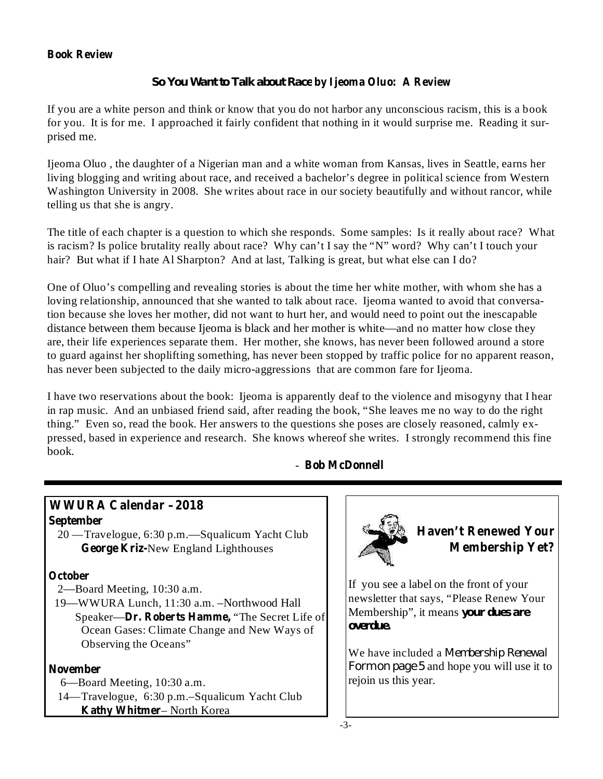### **Book Review**

### **by Ijeoma Oluo: A Review** *So You Want to Talk about Race*

If you are a white person and think or know that you do not harbor any unconscious racism, this is a book for you. It is for me. I approached it fairly confident that nothing in it would surprise me. Reading it surprised me.

Ijeoma Oluo , the daughter of a Nigerian man and a white woman from Kansas, lives in Seattle, earns her living blogging and writing about race, and received a bachelor's degree in political science from Western Washington University in 2008. She writes about race in our society beautifully and without rancor, while telling us that she is angry.

The title of each chapter is a question to which she responds. Some samples: Is it really about race? What is racism? Is police brutality really about race? Why can't I say the "N" word? Why can't I touch your hair? But what if I hate Al Sharpton? And at last, Talking is great, but what else can I do?

One of Oluo's compelling and revealing stories is about the time her white mother, with whom she has a loving relationship, announced that she wanted to talk about race. Ijeoma wanted to avoid that conversation because she loves her mother, did not want to hurt her, and would need to point out the inescapable distance between them because Ijeoma is black and her mother is white—and no matter how close they are, their life experiences separate them. Her mother, she knows, has never been followed around a store to guard against her shoplifting something, has never been stopped by traffic police for no apparent reason, has never been subjected to the daily micro-aggressions that are common fare for Ijeoma.

I have two reservations about the book: Ijeoma is apparently deaf to the violence and misogyny that I hear in rap music. And an unbiased friend said, after reading the book, "She leaves me no way to do the right thing." Even so, read the book. Her answers to the questions she poses are closely reasoned, calmly expressed, based in experience and research. She knows whereof she writes. I strongly recommend this fine book.

### **Bob McDonnell** -

# **WWURA Calendar –2018**

- **September**
	- **George Kriz-**New England Lighthouses 20 —Travelogue, 6:30 p.m.—Squalicum Yacht Club

### **October**

- 2—Board Meeting, 10:30 a.m.
- Speaker—**Dr. Roberts Hamme,** "The Secret Life of 19—WWURA Lunch, 11:30 a.m. –Northwood Hall Ocean Gases: Climate Change and New Ways of Observing the Oceans"

#### **November**

- 6—Board Meeting, 10:30 a.m.
- **Kathy Whitmer** North Korea 14—Travelogue, 6:30 p.m.–Squalicum Yacht Club



If you see a label on the front of your newsletter that says, "Please Renew Your Membership", it means *your dues are overdue.*

We have included a *Membership Renewal Form on page* 5 and hope you will use it to rejoin us this year.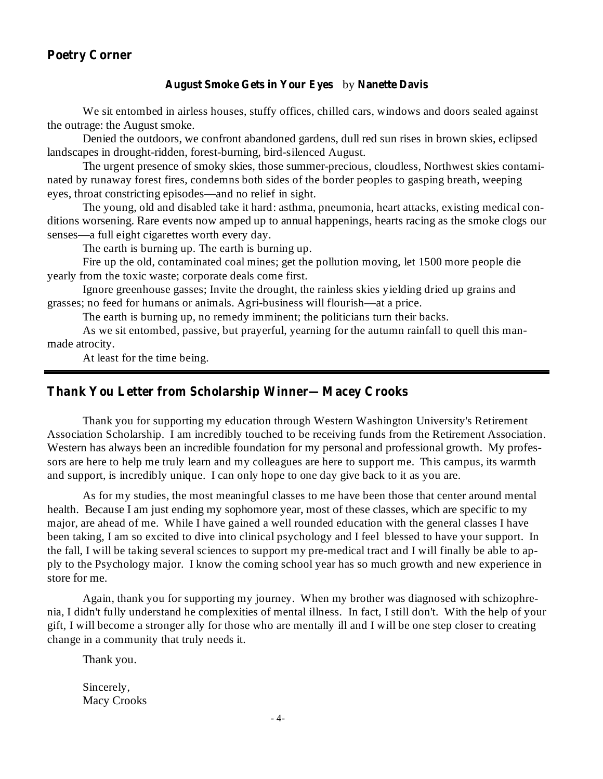### **Poetry Corner**

### August Smoke Gets in Your Eyes by Nanette Davis

We sit entombed in airless houses, stuffy offices, chilled cars, windows and doors sealed against the outrage: the August smoke.

Denied the outdoors, we confront abandoned gardens, dull red sun rises in brown skies, eclipsed landscapes in drought-ridden, forest-burning, bird-silenced August.

The urgent presence of smoky skies, those summer-precious, cloudless, Northwest skies contaminated by runaway forest fires, condemns both sides of the border peoples to gasping breath, weeping eyes, throat constricting episodes—and no relief in sight.

The young, old and disabled take it hard: asthma, pneumonia, heart attacks, existing medical conditions worsening. Rare events now amped up to annual happenings, hearts racing as the smoke clogs our senses—a full eight cigarettes worth every day.

The earth is burning up. The earth is burning up.

Fire up the old, contaminated coal mines; get the pollution moving, let 1500 more people die yearly from the toxic waste; corporate deals come first.

Ignore greenhouse gasses; Invite the drought, the rainless skies yielding dried up grains and grasses; no feed for humans or animals. Agri-business will flourish—at a price.

The earth is burning up, no remedy imminent; the politicians turn their backs.

As we sit entombed, passive, but prayerful, yearning for the autumn rainfall to quell this manmade atrocity.

At least for the time being.

### **Thank You Letter from Scholarship Winner—Macey Crooks**

Thank you for supporting my education through Western Washington University's Retirement Association Scholarship. I am incredibly touched to be receiving funds from the Retirement Association. Western has always been an incredible foundation for my personal and professional growth. My professors are here to help me truly learn and my colleagues are here to support me. This campus, its warmth and support, is incredibly unique. I can only hope to one day give back to it as you are.

As for my studies, the most meaningful classes to me have been those that center around mental health. Because I am just ending my sophomore year, most of these classes, which are specific to my major, are ahead of me. While I have gained a well rounded education with the general classes I have been taking, I am so excited to dive into clinical psychology and I feel blessed to have your support. In the fall, I will be taking several sciences to support my pre-medical tract and I will finally be able to apply to the Psychology major. I know the coming school year has so much growth and new experience in store for me.

Again, thank you for supporting my journey. When my brother was diagnosed with schizophrenia, I didn't fully understand he complexities of mental illness. In fact, I still don't. With the help of your gift, I will become a stronger ally for those who are mentally ill and I will be one step closer to creating change in a community that truly needs it.

Thank you.

Sincerely, Macy Crooks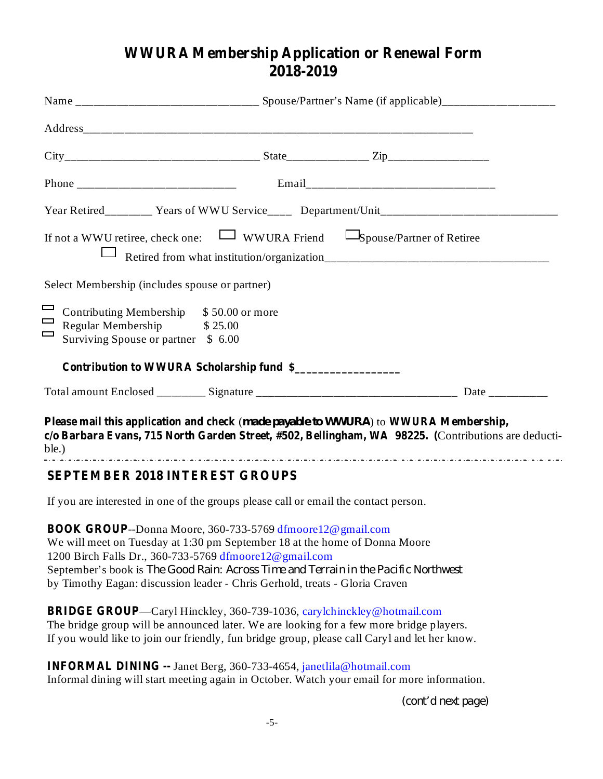# **WWURA Membership Application or Renewal Form 2018-2019**

|                  |                                                                                                                                                                                                              |  | Year Retired________ Years of WWU Service____ Department/Unit____________________                                                                                                                                                                                        |                                                                                                     |  |  |
|------------------|--------------------------------------------------------------------------------------------------------------------------------------------------------------------------------------------------------------|--|--------------------------------------------------------------------------------------------------------------------------------------------------------------------------------------------------------------------------------------------------------------------------|-----------------------------------------------------------------------------------------------------|--|--|
|                  |                                                                                                                                                                                                              |  | If not a WWU retiree, check one: $\Box$ WWURA Friend $\Box$ Spouse/Partner of Retiree                                                                                                                                                                                    |                                                                                                     |  |  |
|                  | Select Membership (includes spouse or partner)                                                                                                                                                               |  |                                                                                                                                                                                                                                                                          |                                                                                                     |  |  |
| —<br>$\Box$<br>ᆮ | Contributing Membership \$50.00 or more<br>Regular Membership \$25.00<br>Surviving Spouse or partner \$ 6.00                                                                                                 |  |                                                                                                                                                                                                                                                                          |                                                                                                     |  |  |
|                  | Contribution to WWURA Scholarship fund \$                                                                                                                                                                    |  |                                                                                                                                                                                                                                                                          |                                                                                                     |  |  |
|                  |                                                                                                                                                                                                              |  |                                                                                                                                                                                                                                                                          |                                                                                                     |  |  |
|                  |                                                                                                                                                                                                              |  | Please mail this application and check (made payable to WWURA) to WWURA Membership,                                                                                                                                                                                      | c/o Barbara Evans, 715 North Garden Street, #502, Bellingham, WA 98225. (Contributions are deducti- |  |  |
|                  | <b>SEPTEMBER 2018 INTEREST GROUPS</b>                                                                                                                                                                        |  |                                                                                                                                                                                                                                                                          |                                                                                                     |  |  |
|                  |                                                                                                                                                                                                              |  | If you are interested in one of the groups please call or email the contact person.                                                                                                                                                                                      |                                                                                                     |  |  |
|                  | <b>BOOK GROUP--Donna Moore, 360-733-5769 dfmoore 12@ gmail.com</b><br>1200 Birch Falls Dr., 360-733-5769 dfmoore 12@gmail.com<br>by Timothy Eagan: discussion leader - Chris Gerhold, treats - Gloria Craven |  | We will meet on Tuesday at 1:30 pm September 18 at the home of Donna Moore<br>September's book is The Good Rain: Across Time and Terrain in the Pacific Northwest                                                                                                        |                                                                                                     |  |  |
|                  |                                                                                                                                                                                                              |  | <b>BRIDGE GROUP—Caryl Hinckley, 360-739-1036, carylchinckley@hotmail.com</b><br>The bridge group will be announced later. We are looking for a few more bridge players.<br>If you would like to join our friendly, fun bridge group, please call Caryl and let her know. |                                                                                                     |  |  |
|                  |                                                                                                                                                                                                              |  |                                                                                                                                                                                                                                                                          |                                                                                                     |  |  |

**INFORMAL DINING --** Janet Berg, 360-733-4654, janetlila@hotmail.com Informal dining will start meeting again in October. Watch your email for more information.

*(cont'd next page)*